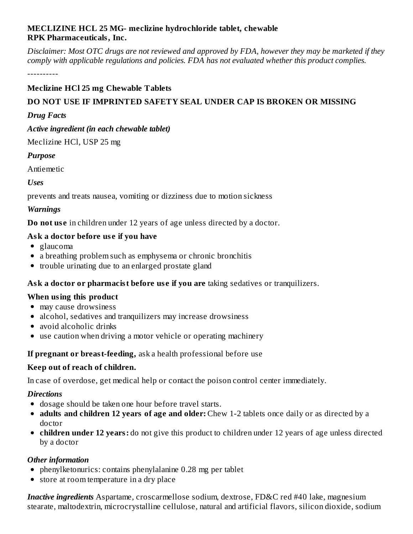#### **MECLIZINE HCL 25 MG- meclizine hydrochloride tablet, chewable RPK Pharmaceuticals, Inc.**

Disclaimer: Most OTC drugs are not reviewed and approved by FDA, however they may be marketed if they *comply with applicable regulations and policies. FDA has not evaluated whether this product complies.*

----------

## **Meclizine HCl 25 mg Chewable Tablets**

# **DO NOT USE IF IMPRINTED SAFETY SEAL UNDER CAP IS BROKEN OR MISSING**

#### *Drug Facts*

#### *Active ingredient (in each chewable tablet)*

Meclizine HCl, USP 25 mg

#### *Purpose*

Antiemetic

*Uses*

prevents and treats nausea, vomiting or dizziness due to motion sickness

#### *Warnings*

**Do not us e** in children under 12 years of age unless directed by a doctor.

#### **Ask a doctor before us e if you have**

- glaucoma
- a breathing problem such as emphysema or chronic bronchitis
- trouble urinating due to an enlarged prostate gland

#### **Ask a doctor or pharmacist before us e if you are** taking sedatives or tranquilizers.

#### **When using this product**

- may cause drowsiness
- alcohol, sedatives and tranquilizers may increase drowsiness
- avoid alcoholic drinks
- use caution when driving a motor vehicle or operating machinery

#### **If pregnant or breast-feeding,** ask a health professional before use

#### **Keep out of reach of children.**

In case of overdose, get medical help or contact the poison control center immediately.

#### *Directions*

- dosage should be taken one hour before travel starts.
- **adults and children 12 years of age and older:** Chew 1-2 tablets once daily or as directed by a doctor
- **children under 12 years:** do not give this product to children under 12 years of age unless directed by a doctor

#### *Other information*

- phenylketonurics: contains phenylalanine 0.28 mg per tablet
- store at room temperature in a dry place

*Inactive ingredients* Aspartame, croscarmellose sodium, dextrose, FD&C red #40 lake, magnesium stearate, maltodextrin, microcrystalline cellulose, natural and artificial flavors, silicon dioxide, sodium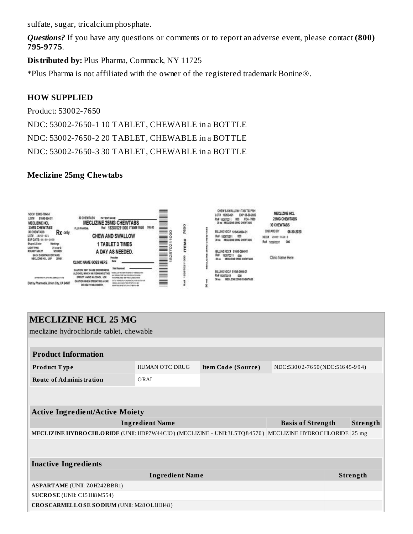sulfate, sugar, tricalcium phosphate.

*Questions?* If you have any questions or comments or to report an adverse event, please contact **(800) 795-9775**.

**Distributed by:** Plus Pharma, Commack, NY 11725

\*Plus Pharma is not affiliated with the owner of the registered trademark Bonine®.

#### **HOW SUPPLIED**

Product: 53002-7650 NDC: 53002-7650-1 10 TABLET, CHEWABLE in a BOTTLE NDC: 53002-7650-2 20 TABLET, CHEWABLE in a BOTTLE NDC: 53002-7650-3 30 TABLET, CHEWABLE in a BOTTLE

#### **Meclizine 25mg Chewtabs**



| <b>MECLIZINE HCL 25 MG</b><br>meclizine hydrochloride tablet, chewable<br><b>Product Information</b><br><b>HUMAN OTC DRUG</b><br>NDC:53002-7650(NDC:51645-994)<br>Item Code (Source)<br>Product Type<br><b>Route of Administration</b><br>ORAL<br><b>Active Ingredient/Active Moiety</b><br><b>Ingredient Name</b><br><b>Basis of Strength</b><br>Strength |  |  |  |  |  |
|------------------------------------------------------------------------------------------------------------------------------------------------------------------------------------------------------------------------------------------------------------------------------------------------------------------------------------------------------------|--|--|--|--|--|
|                                                                                                                                                                                                                                                                                                                                                            |  |  |  |  |  |
|                                                                                                                                                                                                                                                                                                                                                            |  |  |  |  |  |
|                                                                                                                                                                                                                                                                                                                                                            |  |  |  |  |  |
|                                                                                                                                                                                                                                                                                                                                                            |  |  |  |  |  |
|                                                                                                                                                                                                                                                                                                                                                            |  |  |  |  |  |
|                                                                                                                                                                                                                                                                                                                                                            |  |  |  |  |  |
|                                                                                                                                                                                                                                                                                                                                                            |  |  |  |  |  |
|                                                                                                                                                                                                                                                                                                                                                            |  |  |  |  |  |
| MECLIZINE HYDRO CHLORIDE (UNII: HDP7W44CIO) (MECLIZINE - UNII:3L5TQ84570) MECLIZINE HYDROCHLORIDE 25 mg                                                                                                                                                                                                                                                    |  |  |  |  |  |
|                                                                                                                                                                                                                                                                                                                                                            |  |  |  |  |  |
| <b>Inactive Ingredients</b>                                                                                                                                                                                                                                                                                                                                |  |  |  |  |  |
| <b>Ingredient Name</b><br>Strength                                                                                                                                                                                                                                                                                                                         |  |  |  |  |  |
| <b>ASPARTAME</b> (UNII: Z0H242BBR1)                                                                                                                                                                                                                                                                                                                        |  |  |  |  |  |
| SUCROSE (UNII: C151H8 M554)                                                                                                                                                                                                                                                                                                                                |  |  |  |  |  |
| CROSCARMELLOSE SODIUM (UNII: M28OL1HH48)                                                                                                                                                                                                                                                                                                                   |  |  |  |  |  |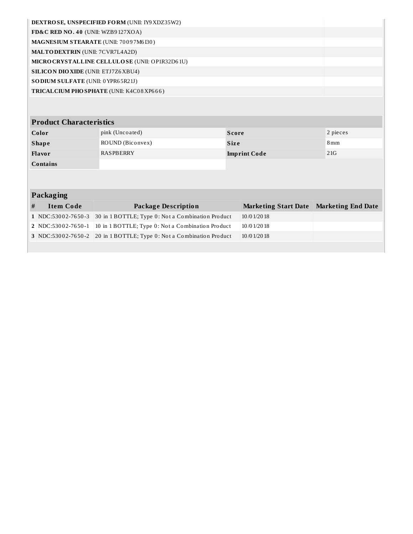| <b>DEXTROSE, UNSPECIFIED FORM (UNII: IY9 XDZ35W2)</b> |  |  |  |
|-------------------------------------------------------|--|--|--|
| FD&C RED NO. 40 (UNII: WZB9 $127XOA$ )                |  |  |  |
| <b>MAGNESIUM STEARATE (UNII: 70097M6I30)</b>          |  |  |  |
| <b>MALTODEXTRIN</b> (UNII: 7CVR7L4A2D)                |  |  |  |
| MICRO CRYSTALLINE CELLULOSE (UNII: OP1R32D61U)        |  |  |  |
| <b>SILICON DIO XIDE</b> (UNII: ETJ7Z6 XBU4)           |  |  |  |
| <b>SODIUM SULFATE</b> (UNII: 0 YPR65R21J)             |  |  |  |
| <b>TRICAL CIUM PHO SPHATE (UNII: K4C08XP666)</b>      |  |  |  |
|                                                       |  |  |  |

# **Product Characteristics**

| Color           | pink (Uncoated)  | Score               | 2 pieces          |
|-----------------|------------------|---------------------|-------------------|
| <b>Shape</b>    | ROUND (Biconvex) | <b>Size</b>         | $8 \,\mathrm{mm}$ |
| <b>Flavor</b>   | <b>RASPBERRY</b> | <b>Imprint Code</b> | 21G               |
| <b>Contains</b> |                  |                     |                   |

# **Packaging**

L

| Item Code | Package Description                                                  | Marketing Start Date Marketing End Date |  |
|-----------|----------------------------------------------------------------------|-----------------------------------------|--|
|           | 1 NDC:53002-7650-3 30 in 1 BOTTLE; Type 0: Not a Combination Product | 10/01/2018                              |  |
|           | 2 NDC:53002-7650-1 10 in 1 BOTTLE; Type 0: Not a Combination Product | 10/01/2018                              |  |
|           | 3 NDC:53002-7650-2 20 in 1 BOTTLE; Type 0: Not a Combination Product | 10/01/2018                              |  |